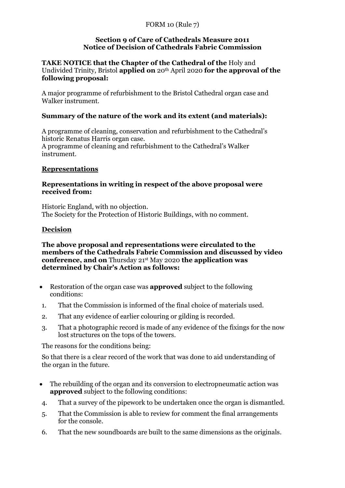#### **Section 9 of Care of Cathedrals Measure 2011 Notice of Decision of Cathedrals Fabric Commission**

## **TAKE NOTICE that the Chapter of the Cathedral of the** Holy and Undivided Trinity, Bristol **applied on** 20th April 2020 **for the approval of the following proposal:**

A major programme of refurbishment to the Bristol Cathedral organ case and Walker instrument.

## **Summary of the nature of the work and its extent (and materials):**

A programme of cleaning, conservation and refurbishment to the Cathedral's historic Renatus Harris organ case. A programme of cleaning and refurbishment to the Cathedral's Walker instrument.

## **Representations**

## **Representations in writing in respect of the above proposal were received from:**

Historic England, with no objection. The Society for the Protection of Historic Buildings, with no comment.

## **Decision**

#### **The above proposal and representations were circulated to the members of the Cathedrals Fabric Commission and discussed by video conference, and on** Thursday 21st May 2020 **the application was determined by Chair's Action as follows:**

- Restoration of the organ case was **approved** subject to the following conditions:
- 1. That the Commission is informed of the final choice of materials used.
- 2. That any evidence of earlier colouring or gilding is recorded.
- 3. That a photographic record is made of any evidence of the fixings for the now lost structures on the tops of the towers.

The reasons for the conditions being:

So that there is a clear record of the work that was done to aid understanding of the organ in the future.

- The rebuilding of the organ and its conversion to electropneumatic action was **approved** subject to the following conditions:
- 4. That a survey of the pipework to be undertaken once the organ is dismantled.
- 5. That the Commission is able to review for comment the final arrangements for the console.
- 6. That the new soundboards are built to the same dimensions as the originals.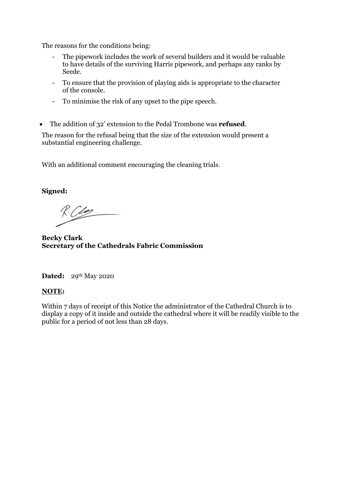The reasons for the conditions being:

- The pipework includes the work of several builders and it would be valuable to have details of the surviving Harris pipework, and perhaps any ranks by Seede.
- To ensure that the provision of playing aids is appropriate to the character of the console.
- To minimise the risk of any upset to the pipe speech.
- The addition of 32' extension to the Pedal Trombone was **refused**.

The reason for the refusal being that the size of the extension would present a substantial engineering challenge.

With an additional comment encouraging the cleaning trials.

**Signed:**

 $R:C$ 

**Becky Clark Secretary of the Cathedrals Fabric Commission**

**Dated:** 29th May 2020

## **NOTE:**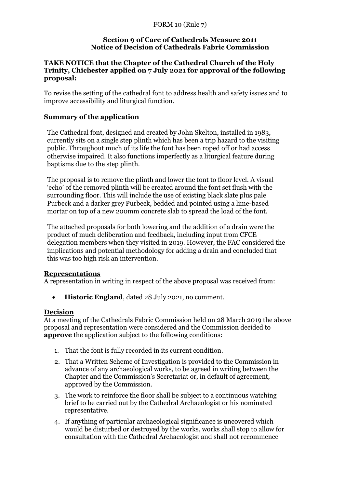## **TAKE NOTICE that the Chapter of the Cathedral Church of the Holy Trinity, Chichester applied on 7 July 2021 for approval of the following proposal:**

To revise the setting of the cathedral font to address health and safety issues and to improve accessibility and liturgical function.

## **Summary of the application**

The Cathedral font, designed and created by John Skelton, installed in 1983, currently sits on a single step plinth which has been a trip hazard to the visiting public. Throughout much of its life the font has been roped off or had access otherwise impaired. It also functions imperfectly as a liturgical feature during baptisms due to the step plinth.

The proposal is to remove the plinth and lower the font to floor level. A visual 'echo' of the removed plinth will be created around the font set flush with the surrounding floor. This will include the use of existing black slate plus pale Purbeck and a darker grey Purbeck, bedded and pointed using a lime-based mortar on top of a new 200mm concrete slab to spread the load of the font.

The attached proposals for both lowering and the addition of a drain were the product of much deliberation and feedback, including input from CFCE delegation members when they visited in 2019. However, the FAC considered the implications and potential methodology for adding a drain and concluded that this was too high risk an intervention.

## **Representations**

A representation in writing in respect of the above proposal was received from:

• **Historic England**, dated 28 July 2021, no comment.

## **Decision**

At a meeting of the Cathedrals Fabric Commission held on 28 March 2019 the above proposal and representation were considered and the Commission decided to **approve** the application subject to the following conditions:

- 1. That the font is fully recorded in its current condition.
- 2. That a Written Scheme of Investigation is provided to the Commission in advance of any archaeological works, to be agreed in writing between the Chapter and the Commission's Secretariat or, in default of agreement, approved by the Commission.
- 3. The work to reinforce the floor shall be subject to a continuous watching brief to be carried out by the Cathedral Archaeologist or his nominated representative.
- 4. If anything of particular archaeological significance is uncovered which would be disturbed or destroyed by the works, works shall stop to allow for consultation with the Cathedral Archaeologist and shall not recommence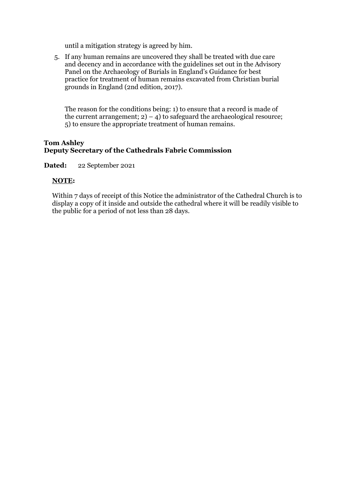until a mitigation strategy is agreed by him.

5. If any human remains are uncovered they shall be treated with due care and decency and in accordance with the guidelines set out in the Advisory Panel on the Archaeology of Burials in England's Guidance for best practice for treatment of human remains excavated from Christian burial grounds in England (2nd edition, 2017).

The reason for the conditions being: 1) to ensure that a record is made of the current arrangement;  $2) - 4$ ) to safeguard the archaeological resource; 5) to ensure the appropriate treatment of human remains.

#### **Tom Ashley Deputy Secretary of the Cathedrals Fabric Commission**

**Dated:** 22 September 2021

#### **NOTE:**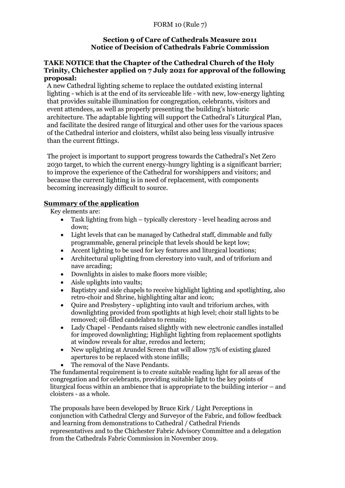## **TAKE NOTICE that the Chapter of the Cathedral Church of the Holy Trinity, Chichester applied on 7 July 2021 for approval of the following proposal:**

A new Cathedral lighting scheme to replace the outdated existing internal lighting - which is at the end of its serviceable life - with new, low-energy lighting that provides suitable illumination for congregation, celebrants, visitors and event attendees, as well as properly presenting the building's historic architecture. The adaptable lighting will support the Cathedral's Liturgical Plan, and facilitate the desired range of liturgical and other uses for the various spaces of the Cathedral interior and cloisters, whilst also being less visually intrusive than the current fittings.

The project is important to support progress towards the Cathedral's Net Zero 2030 target, to which the current energy-hungry lighting is a significant barrier; to improve the experience of the Cathedral for worshippers and visitors; and because the current lighting is in need of replacement, with components becoming increasingly difficult to source.

## **Summary of the application**

Key elements are:

- Task lighting from high typically clerestory level heading across and down;
- Light levels that can be managed by Cathedral staff, dimmable and fully programmable, general principle that levels should be kept low;
- Accent lighting to be used for key features and liturgical locations;
- Architectural uplighting from clerestory into vault, and of triforium and nave arcading;
- Downlights in aisles to make floors more visible;
- Aisle uplights into vaults;
- Baptistry and side chapels to receive highlight lighting and spotlighting, also retro-choir and Shrine, highlighting altar and icon;
- Quire and Presbytery uplighting into vault and triforium arches, with downlighting provided from spotlights at high level; choir stall lights to be removed; oil-filled candelabra to remain;
- Lady Chapel Pendants raised slightly with new electronic candles installed for improved downlighting; Highlight lighting from replacement spotlights at window reveals for altar, reredos and lectern;
- New uplighting at Arundel Screen that will allow 75% of existing glazed apertures to be replaced with stone infills;
	- The removal of the Nave Pendants.

The fundamental requirement is to create suitable reading light for all areas of the congregation and for celebrants, providing suitable light to the key points of liturgical focus within an ambience that is appropriate to the building interior – and cloisters - as a whole.

The proposals have been developed by Bruce Kirk / Light Perceptions in conjunction with Cathedral Clergy and Surveyor of the Fabric, and follow feedback and learning from demonstrations to Cathedral / Cathedral Friends representatives and to the Chichester Fabric Advisory Committee and a delegation from the Cathedrals Fabric Commission in November 2019.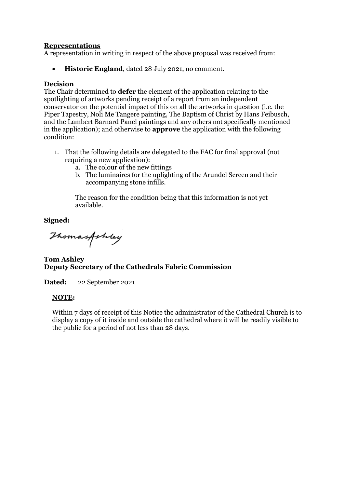## **Representations**

A representation in writing in respect of the above proposal was received from:

• **Historic England**, dated 28 July 2021, no comment.

#### **Decision**

The Chair determined to **defer** the element of the application relating to the spotlighting of artworks pending receipt of a report from an independent conservator on the potential impact of this on all the artworks in question (i.e. the Piper Tapestry, Noli Me Tangere painting, The Baptism of Christ by Hans Feibusch, and the Lambert Barnard Panel paintings and any others not specifically mentioned in the application); and otherwise to **approve** the application with the following condition:

- 1. That the following details are delegated to the FAC for final approval (not requiring a new application):
	- a. The colour of the new fittings
	- b. The luminaires for the uplighting of the Arundel Screen and their accompanying stone infills.

The reason for the condition being that this information is not yet available.

**Signed:**

Thomasfoldey

**Tom Ashley Deputy Secretary of the Cathedrals Fabric Commission**

**Dated:** 22 September 2021

## **NOTE:**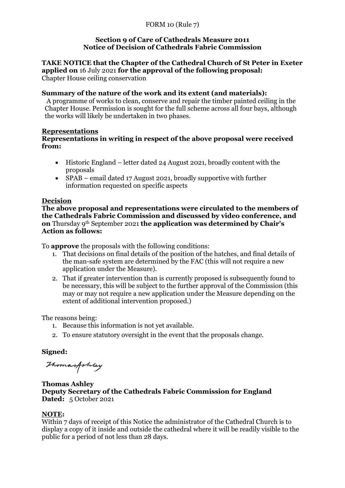**TAKE NOTICE that the Chapter of the Cathedral Church of St Peter in Exeter applied on** 16 July 2021 **for the approval of the following proposal:** Chapter House ceiling conservation

#### **Summary of the nature of the work and its extent (and materials):**

A programme of works to clean, conserve and repair the timber painted ceiling in the Chapter House. Permission is sought for the full scheme across all four bays, although the works will likely be undertaken in two phases.

#### **Representations**

## **Representations in writing in respect of the above proposal were received from:**

- Historic England letter dated 24 August 2021, broadly content with the proposals
- SPAB email dated 17 August 2021, broadly supportive with further information requested on specific aspects

#### **Decision**

**The above proposal and representations were circulated to the members of the Cathedrals Fabric Commission and discussed by video conference, and on** Thursday 9th September 2021 **the application was determined by Chair's Action as follows:**

To **approve** the proposals with the following conditions:

- 1. That decisions on final details of the position of the hatches, and final details of the man-safe system are determined by the FAC (this will not require a new application under the Measure).
- 2. That if greater intervention than is currently proposed is subsequently found to be necessary, this will be subject to the further approval of the Commission (this may or may not require a new application under the Measure depending on the extent of additional intervention proposed.)

The reasons being:

- 1. Because this information is not yet available.
- 2. To ensure statutory oversight in the event that the proposals change.

## **Signed:**

Thomasfolkey

**Thomas Ashley Deputy Secretary of the Cathedrals Fabric Commission for England Dated:** 5 October 2021

#### **NOTE:**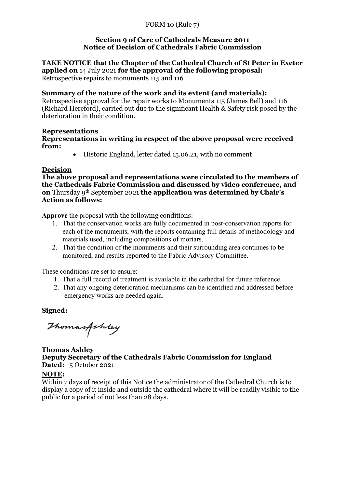**TAKE NOTICE that the Chapter of the Cathedral Church of St Peter in Exeter applied on** 14 July 2021 **for the approval of the following proposal:** Retrospective repairs to monuments 115 and 116

## **Summary of the nature of the work and its extent (and materials):**

Retrospective approval for the repair works to Monuments 115 (James Bell) and 116 (Richard Hereford), carried out due to the significant Health & Safety risk posed by the deterioration in their condition.

#### **Representations**

#### **Representations in writing in respect of the above proposal were received from:**

• Historic England, letter dated 15.06.21, with no comment

#### **Decision**

**The above proposal and representations were circulated to the members of the Cathedrals Fabric Commission and discussed by video conference, and on** Thursday 9th September 2021 **the application was determined by Chair's Action as follows:**

**Approve** the proposal with the following conditions:

- 1. That the conservation works are fully documented in post-conservation reports for each of the monuments, with the reports containing full details of methodology and materials used, including compositions of mortars.
- 2. That the condition of the monuments and their surrounding area continues to be monitored, and results reported to the Fabric Advisory Committee.

These conditions are set to ensure:

- 1. That a full record of treatment is available in the cathedral for future reference.
- 2. That any ongoing deterioration mechanisms can be identified and addressed before emergency works are needed again.

**Signed:**

Thomasfoldey

## **Thomas Ashley Deputy Secretary of the Cathedrals Fabric Commission for England Dated:** 5 October 2021

## **NOTE:**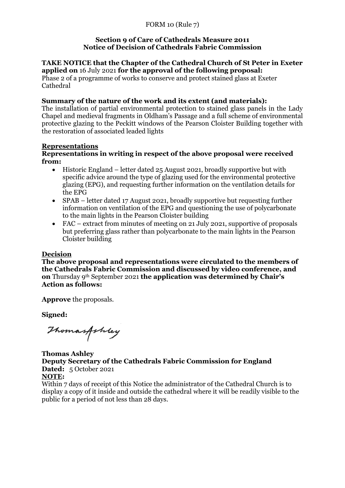#### **TAKE NOTICE that the Chapter of the Cathedral Church of St Peter in Exeter applied on** 16 July 2021 **for the approval of the following proposal:**

Phase 2 of a programme of works to conserve and protect stained glass at Exeter Cathedral

# **Summary of the nature of the work and its extent (and materials):**

The installation of partial environmental protection to stained glass panels in the Lady Chapel and medieval fragments in Oldham's Passage and a full scheme of environmental protective glazing to the Peckitt windows of the Pearson Cloister Building together with the restoration of associated leaded lights

## **Representations**

## **Representations in writing in respect of the above proposal were received from:**

- Historic England letter dated 25 August 2021, broadly supportive but with specific advice around the type of glazing used for the environmental protective glazing (EPG), and requesting further information on the ventilation details for the EPG
- SPAB letter dated 17 August 2021, broadly supportive but requesting further information on ventilation of the EPG and questioning the use of polycarbonate to the main lights in the Pearson Cloister building
- FAC extract from minutes of meeting on 21 July 2021, supportive of proposals but preferring glass rather than polycarbonate to the main lights in the Pearson Cloister building

## **Decision**

**The above proposal and representations were circulated to the members of the Cathedrals Fabric Commission and discussed by video conference, and on** Thursday 9th September 2021 **the application was determined by Chair's Action as follows:**

**Approve** the proposals.

**Signed:**

Thomasfoldey

**Thomas Ashley Deputy Secretary of the Cathedrals Fabric Commission for England Dated:** 5 October 2021 **NOTE:**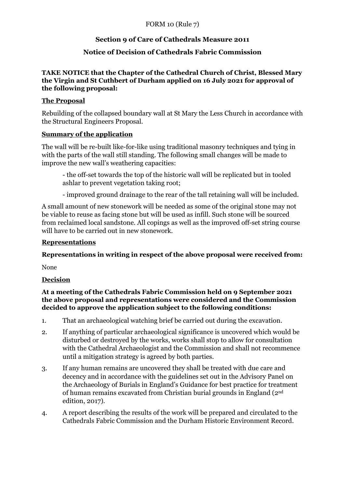# **Section 9 of Care of Cathedrals Measure 2011**

# **Notice of Decision of Cathedrals Fabric Commission**

## **TAKE NOTICE that the Chapter of the Cathedral Church of Christ, Blessed Mary the Virgin and St Cuthbert of Durham applied on 16 July 2021 for approval of the following proposal:**

## **The Proposal**

Rebuilding of the collapsed boundary wall at St Mary the Less Church in accordance with the Structural Engineers Proposal.

## **Summary of the application**

The wall will be re-built like-for-like using traditional masonry techniques and tying in with the parts of the wall still standing. The following small changes will be made to improve the new wall's weathering capacities:

- the off-set towards the top of the historic wall will be replicated but in tooled ashlar to prevent vegetation taking root;

- improved ground drainage to the rear of the tall retaining wall will be included.

A small amount of new stonework will be needed as some of the original stone may not be viable to reuse as facing stone but will be used as infill. Such stone will be sourced from reclaimed local sandstone. All copings as well as the improved off-set string course will have to be carried out in new stonework.

## **Representations**

**Representations in writing in respect of the above proposal were received from:**

None

## **Decision**

**At a meeting of the Cathedrals Fabric Commission held on 9 September 2021 the above proposal and representations were considered and the Commission decided to approve the application subject to the following conditions:**

- 1. That an archaeological watching brief be carried out during the excavation.
- 2. If anything of particular archaeological significance is uncovered which would be disturbed or destroyed by the works, works shall stop to allow for consultation with the Cathedral Archaeologist and the Commission and shall not recommence until a mitigation strategy is agreed by both parties.
- 3. If any human remains are uncovered they shall be treated with due care and decency and in accordance with the guidelines set out in the Advisory Panel on the Archaeology of Burials in England's Guidance for best practice for treatment of human remains excavated from Christian burial grounds in England (2nd edition, 2017).
- 4. A report describing the results of the work will be prepared and circulated to the Cathedrals Fabric Commission and the Durham Historic Environment Record.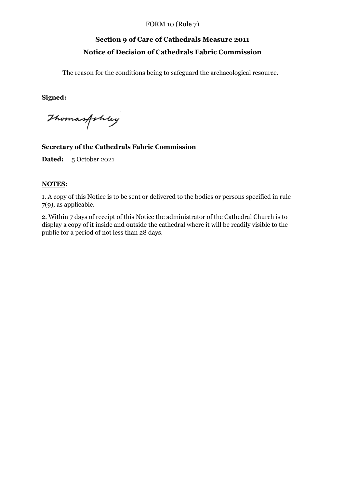# **Section 9 of Care of Cathedrals Measure 2011 Notice of Decision of Cathedrals Fabric Commission**

The reason for the conditions being to safeguard the archaeological resource.

**Signed:**

Thomasfoldey

#### **Secretary of the Cathedrals Fabric Commission**

**Dated:** 5 October 2021

#### **NOTES:**

1. A copy of this Notice is to be sent or delivered to the bodies or persons specified in rule 7(9), as applicable.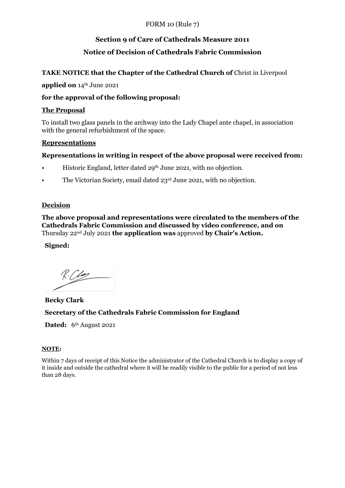# **Section 9 of Care of Cathedrals Measure 2011**

# **Notice of Decision of Cathedrals Fabric Commission**

## TAKE NOTICE that the Chapter of the Cathedral Church of Christ in Liverpool

#### **applied on** 14th June 2021

## **for the approval of the following proposal:**

## **The Proposal**

To install two glass panels in the archway into the Lady Chapel ante chapel, in association with the general refurbishment of the space.

#### **Representations**

## **Representations in writing in respect of the above proposal were received from:**

- Historic England, letter dated 29<sup>th</sup> June 2021, with no objection.
- The Victorian Society, email dated 23<sup>rd</sup> June 2021, with no objection.

## **Decision**

**The above proposal and representations were circulated to the members of the Cathedrals Fabric Commission and discussed by video conference, and on**  Thursday 22nd July 2021 **the application was** approved **by Chair's Action.** 

## **Signed:**

# **Becky Clark Secretary of the Cathedrals Fabric Commission for England**

Dated: 6<sup>th</sup> August 2021

#### **NOTE:**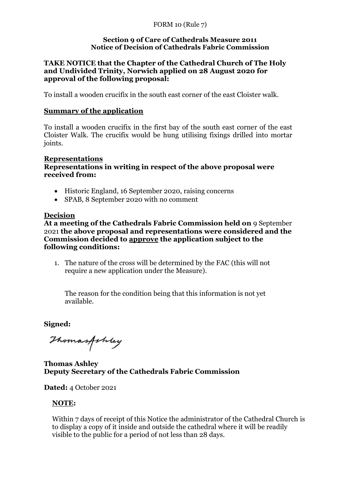## **TAKE NOTICE that the Chapter of the Cathedral Church of The Holy and Undivided Trinity, Norwich applied on 28 August 2020 for approval of the following proposal:**

To install a wooden crucifix in the south east corner of the east Cloister walk.

## **Summary of the application**

To install a wooden crucifix in the first bay of the south east corner of the east Cloister Walk. The crucifix would be hung utilising fixings drilled into mortar joints.

#### **Representations Representations in writing in respect of the above proposal were received from:**

- Historic England, 16 September 2020, raising concerns
- SPAB, 8 September 2020 with no comment

#### **Decision**

**At a meeting of the Cathedrals Fabric Commission held on** 9 September 2021 **the above proposal and representations were considered and the Commission decided to approve the application subject to the following conditions:**

1. The nature of the cross will be determined by the FAC (this will not require a new application under the Measure).

The reason for the condition being that this information is not yet available.

**Signed:**

Thomasfoldey

**Thomas Ashley Deputy Secretary of the Cathedrals Fabric Commission**

**Dated:** 4 October 2021

## **NOTE:**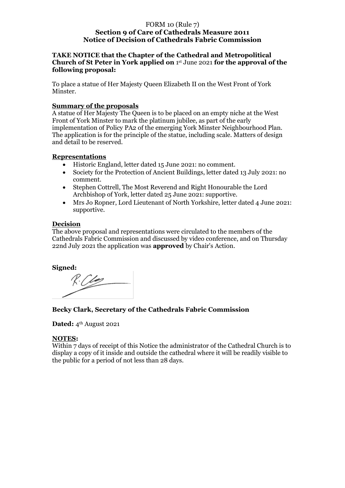#### **TAKE NOTICE that the Chapter of the Cathedral and Metropolitical Church of St Peter in York applied on** 1 st June 2021 **for the approval of the following proposal:**

To place a statue of Her Majesty Queen Elizabeth II on the West Front of York Minster.

#### **Summary of the proposals**

A statue of Her Majesty The Queen is to be placed on an empty niche at the West Front of York Minster to mark the platinum jubilee, as part of the early implementation of Policy PA2 of the emerging York Minster Neighbourhood Plan. The application is for the principle of the statue, including scale. Matters of design and detail to be reserved.

#### **Representations**

- Historic England, letter dated 15 June 2021: no comment.
- Society for the Protection of Ancient Buildings, letter dated 13 July 2021: no comment.
- Stephen Cottrell, The Most Reverend and Right Honourable the Lord Archbishop of York, letter dated 25 June 2021: supportive.
- Mrs Jo Ropner, Lord Lieutenant of North Yorkshire, letter dated 4 June 2021: supportive.

#### **Decision**

The above proposal and representations were circulated to the members of the Cathedrals Fabric Commission and discussed by video conference, and on Thursday 22nd July 2021 the application was **approved** by Chair's Action.

#### **Signed:**

## **Becky Clark, Secretary of the Cathedrals Fabric Commission**

**Dated:** 4<sup>th</sup> August 2021

#### **NOTES:**